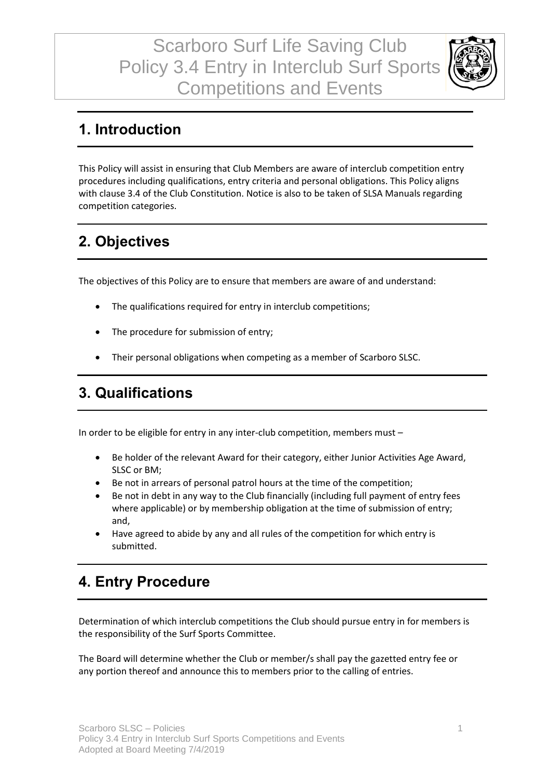Scarboro Surf Life Saving Club Policy 3.4 Entry in Interclub Surf Sports Competitions and Events



#### **1. Introduction**

This Policy will assist in ensuring that Club Members are aware of interclub competition entry procedures including qualifications, entry criteria and personal obligations. This Policy aligns with clause 3.4 of the Club Constitution. Notice is also to be taken of SLSA Manuals regarding competition categories.

## **2. Objectives**

The objectives of this Policy are to ensure that members are aware of and understand:

- The qualifications required for entry in interclub competitions;
- The procedure for submission of entry;
- Their personal obligations when competing as a member of Scarboro SLSC.

#### **3. Qualifications**

In order to be eligible for entry in any inter-club competition, members must –

- Be holder of the relevant Award for their category, either Junior Activities Age Award, SLSC or BM;
- Be not in arrears of personal patrol hours at the time of the competition;
- Be not in debt in any way to the Club financially (including full payment of entry fees where applicable) or by membership obligation at the time of submission of entry; and,
- Have agreed to abide by any and all rules of the competition for which entry is submitted.

### **4. Entry Procedure**

Determination of which interclub competitions the Club should pursue entry in for members is the responsibility of the Surf Sports Committee.

The Board will determine whether the Club or member/s shall pay the gazetted entry fee or any portion thereof and announce this to members prior to the calling of entries.